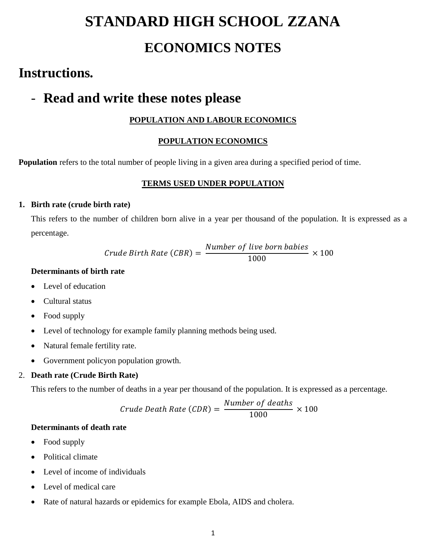# **STANDARD HIGH SCHOOL ZZANA ECONOMICS NOTES**

## **Instructions.**

## - **Read and write these notes please**

### **POPULATION AND LABOUR ECONOMICS**

### **POPULATION ECONOMICS**

**Population** refers to the total number of people living in a given area during a specified period of time.

### **TERMS USED UNDER POPULATION**

### **1. Birth rate (crude birth rate)**

This refers to the number of children born alive in a year per thousand of the population. It is expressed as a percentage.

> $Crude Birth Rate (CBR) =$ Number of live born babies 1000  $\times$  100

### **Determinants of birth rate**

- Level of education
- Cultural status
- Food supply
- Level of technology for example family planning methods being used.
- Natural female fertility rate.
- Government policyon population growth.

### 2. **Death rate (Crude Birth Rate)**

This refers to the number of deaths in a year per thousand of the population. It is expressed as a percentage.

$$
Crude Death Rate (CDR) = \frac{Number of deaths}{1000} \times 100
$$

### **Determinants of death rate**

- Food supply
- Political climate
- Level of income of individuals
- Level of medical care
- Rate of natural hazards or epidemics for example Ebola, AIDS and cholera.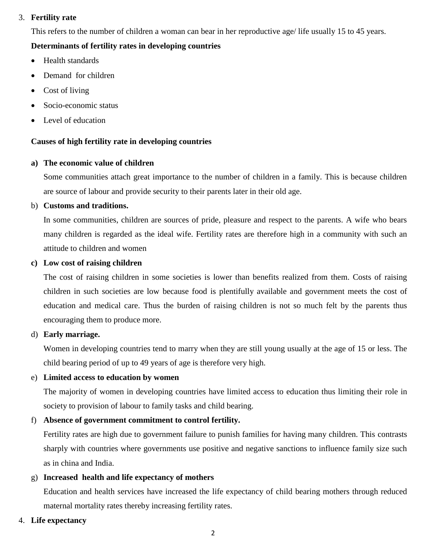### 3. **Fertility rate**

This refers to the number of children a woman can bear in her reproductive age/ life usually 15 to 45 years.

#### **Determinants of fertility rates in developing countries**

- Health standards
- Demand for children
- Cost of living
- Socio-economic status
- Level of education

#### **Causes of high fertility rate in developing countries**

#### **a) The economic value of children**

Some communities attach great importance to the number of children in a family. This is because children are source of labour and provide security to their parents later in their old age.

#### b) **Customs and traditions.**

In some communities, children are sources of pride, pleasure and respect to the parents. A wife who bears many children is regarded as the ideal wife. Fertility rates are therefore high in a community with such an attitude to children and women

#### **c) Low cost of raising children**

The cost of raising children in some societies is lower than benefits realized from them. Costs of raising children in such societies are low because food is plentifully available and government meets the cost of education and medical care. Thus the burden of raising children is not so much felt by the parents thus encouraging them to produce more.

#### d) **Early marriage.**

Women in developing countries tend to marry when they are still young usually at the age of 15 or less. The child bearing period of up to 49 years of age is therefore very high.

#### e) **Limited access to education by women**

The majority of women in developing countries have limited access to education thus limiting their role in society to provision of labour to family tasks and child bearing.

#### f) **Absence of government commitment to control fertility.**

Fertility rates are high due to government failure to punish families for having many children. This contrasts sharply with countries where governments use positive and negative sanctions to influence family size such as in china and India.

#### g) **Increased health and life expectancy of mothers**

Education and health services have increased the life expectancy of child bearing mothers through reduced maternal mortality rates thereby increasing fertility rates.

#### 4. **Life expectancy**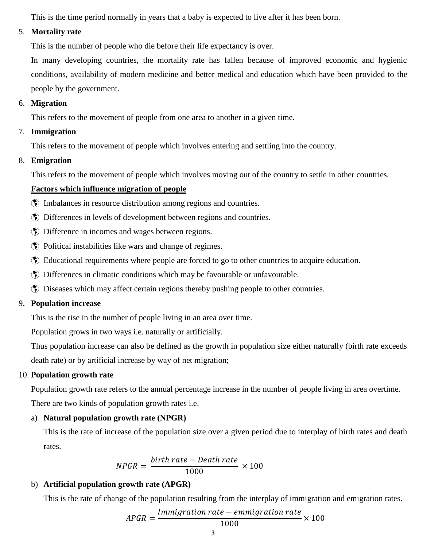This is the time period normally in years that a baby is expected to live after it has been born.

### 5. **Mortality rate**

This is the number of people who die before their life expectancy is over.

In many developing countries, the mortality rate has fallen because of improved economic and hygienic conditions, availability of modern medicine and better medical and education which have been provided to the people by the government.

### 6. **Migration**

This refers to the movement of people from one area to another in a given time.

### 7. **Immigration**

This refers to the movement of people which involves entering and settling into the country.

### 8. **Emigration**

This refers to the movement of people which involves moving out of the country to settle in other countries.

### **Factors which influence migration of people**

- Imbalances in resource distribution among regions and countries.
- Differences in levels of development between regions and countries.
- **(\*)** Difference in incomes and wages between regions.
- Political instabilities like wars and change of regimes.
- Educational requirements where people are forced to go to other countries to acquire education.
- Differences in climatic conditions which may be favourable or unfavourable.
- Diseases which may affect certain regions thereby pushing people to other countries.

### 9. **Population increase**

This is the rise in the number of people living in an area over time.

Population grows in two ways i.e. naturally or artificially.

Thus population increase can also be defined as the growth in population size either naturally (birth rate exceeds death rate) or by artificial increase by way of net migration;

### 10. **Population growth rate**

Population growth rate refers to the annual percentage increase in the number of people living in area overtime. There are two kinds of population growth rates i.e.

### a) **Natural population growth rate (NPGR)**

This is the rate of increase of the population size over a given period due to interplay of birth rates and death rates.

$$
NPGR = \frac{birth\ rate - Death\ rate}{1000} \times 100
$$

### b) **Artificial population growth rate (APGR)**

This is the rate of change of the population resulting from the interplay of immigration and emigration rates.

$$
APGR = \frac{Im migration\ rate - em migration\ rate}{1000} \times 100
$$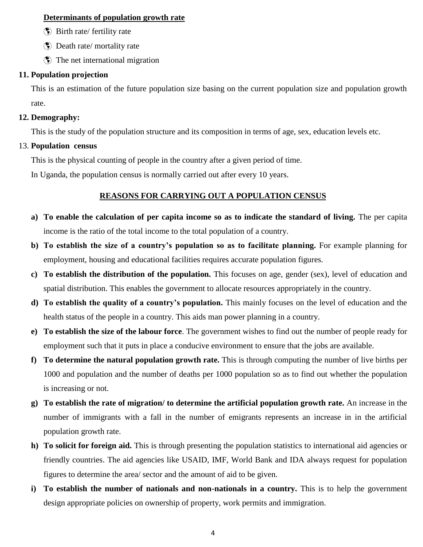#### **Determinants of population growth rate**

- Birth rate/ fertility rate
- Death rate/ mortality rate
- The net international migration

#### **11. Population projection**

This is an estimation of the future population size basing on the current population size and population growth rate.

#### **12. Demography:**

This is the study of the population structure and its composition in terms of age, sex, education levels etc.

#### 13. **Population census**

This is the physical counting of people in the country after a given period of time.

In Uganda, the population census is normally carried out after every 10 years.

#### **REASONS FOR CARRYING OUT A POPULATION CENSUS**

- **a) To enable the calculation of per capita income so as to indicate the standard of living.** The per capita income is the ratio of the total income to the total population of a country.
- **b) To establish the size of a country's population so as to facilitate planning.** For example planning for employment, housing and educational facilities requires accurate population figures.
- **c) To establish the distribution of the population.** This focuses on age, gender (sex), level of education and spatial distribution. This enables the government to allocate resources appropriately in the country.
- **d) To establish the quality of a country's population.** This mainly focuses on the level of education and the health status of the people in a country. This aids man power planning in a country.
- **e) To establish the size of the labour force**. The government wishes to find out the number of people ready for employment such that it puts in place a conducive environment to ensure that the jobs are available.
- **f) To determine the natural population growth rate.** This is through computing the number of live births per 1000 and population and the number of deaths per 1000 population so as to find out whether the population is increasing or not.
- **g) To establish the rate of migration/ to determine the artificial population growth rate.** An increase in the number of immigrants with a fall in the number of emigrants represents an increase in in the artificial population growth rate.
- **h) To solicit for foreign aid.** This is through presenting the population statistics to international aid agencies or friendly countries. The aid agencies like USAID, IMF, World Bank and IDA always request for population figures to determine the area/ sector and the amount of aid to be given.
- **i) To establish the number of nationals and non-nationals in a country.** This is to help the government design appropriate policies on ownership of property, work permits and immigration.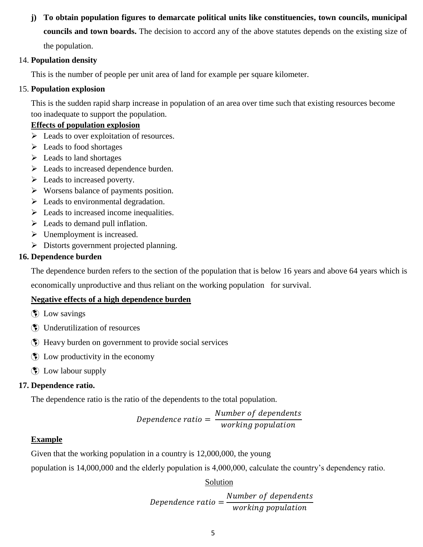## **j) To obtain population figures to demarcate political units like constituencies, town councils, municipal councils and town boards.** The decision to accord any of the above statutes depends on the existing size of

the population.

### 14. **Population density**

This is the number of people per unit area of land for example per square kilometer.

### 15. **Population explosion**

This is the sudden rapid sharp increase in population of an area over time such that existing resources become too inadequate to support the population.

### **Effects of population explosion**

- $\triangleright$  Leads to over exploitation of resources.
- $\blacktriangleright$  Leads to food shortages
- $\triangleright$  Leads to land shortages
- $\triangleright$  Leads to increased dependence burden.
- $\triangleright$  Leads to increased poverty.
- $\triangleright$  Worsens balance of payments position.
- $\triangleright$  Leads to environmental degradation.
- $\triangleright$  Leads to increased income inequalities.
- $\triangleright$  Leads to demand pull inflation.
- $\triangleright$  Unemployment is increased.
- Distorts government projected planning.

### **16. Dependence burden**

The dependence burden refers to the section of the population that is below 16 years and above 64 years which is

economically unproductive and thus reliant on the working population for survival.

### **Negative effects of a high dependence burden**

- **(\*)** Low savings
- Underutilization of resources
- Heavy burden on government to provide social services
- Low productivity in the economy
- $\bullet$  Low labour supply

### **17. Dependence ratio.**

The dependence ratio is the ratio of the dependents to the total population.

Dependence ratio = Number of dependents working population

### **Example**

Given that the working population in a country is 12,000,000, the young

population is 14,000,000 and the elderly population is 4,000,000, calculate the country's dependency ratio.

### Solution

 $Dependence ratio =$ Number of dependents working population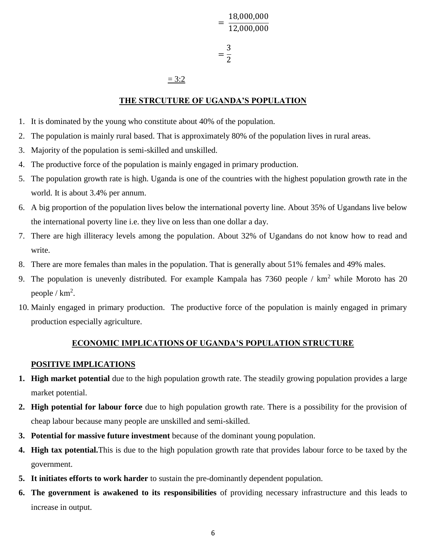= 18,000,000 12,000,000 = 3 2

#### $= 3:2$

#### **THE STRCUTURE OF UGANDA'S POPULATION**

- 1. It is dominated by the young who constitute about 40% of the population.
- 2. The population is mainly rural based. That is approximately 80% of the population lives in rural areas.
- 3. Majority of the population is semi-skilled and unskilled.
- 4. The productive force of the population is mainly engaged in primary production.
- 5. The population growth rate is high. Uganda is one of the countries with the highest population growth rate in the world. It is about 3.4% per annum.
- 6. A big proportion of the population lives below the international poverty line. About 35% of Ugandans live below the international poverty line i.e. they live on less than one dollar a day.
- 7. There are high illiteracy levels among the population. About 32% of Ugandans do not know how to read and write.
- 8. There are more females than males in the population. That is generally about 51% females and 49% males.
- 9. The population is unevenly distributed. For example Kampala has 7360 people / km<sup>2</sup> while Moroto has 20 people /  $km^2$ .
- 10. Mainly engaged in primary production. The productive force of the population is mainly engaged in primary production especially agriculture.

#### **ECONOMIC IMPLICATIONS OF UGANDA'S POPULATION STRUCTURE**

#### **POSITIVE IMPLICATIONS**

- **1. High market potential** due to the high population growth rate. The steadily growing population provides a large market potential.
- **2. High potential for labour force** due to high population growth rate. There is a possibility for the provision of cheap labour because many people are unskilled and semi-skilled.
- **3. Potential for massive future investment** because of the dominant young population.
- **4. High tax potential.**This is due to the high population growth rate that provides labour force to be taxed by the government.
- **5. It initiates efforts to work harder** to sustain the pre-dominantly dependent population.
- **6. The government is awakened to its responsibilities** of providing necessary infrastructure and this leads to increase in output.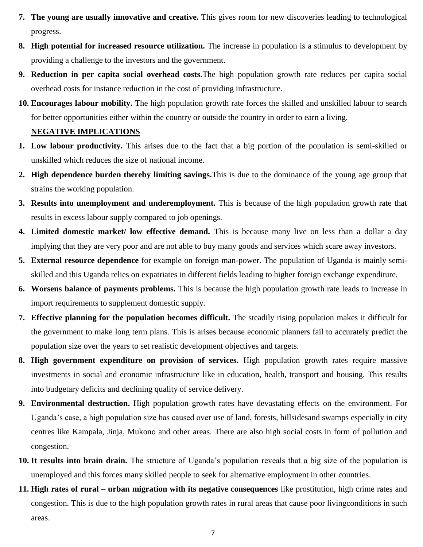- **7. The young are usually innovative and creative.** This gives room for new discoveries leading to technological progress.
- **8. High potential for increased resource utilization.** The increase in population is a stimulus to development by providing a challenge to the investors and the government.
- **9. Reduction in per capita social overhead costs.**The high population growth rate reduces per capita social overhead costs for instance reduction in the cost of providing infrastructure.
- **10. Encourages labour mobility.** The high population growth rate forces the skilled and unskilled labour to search for better opportunities either within the country or outside the country in order to earn a living.

#### **NEGATIVE IMPLICATIONS**

- **1. Low labour productivity.** This arises due to the fact that a big portion of the population is semi-skilled or unskilled which reduces the size of national income.
- **2. High dependence burden thereby limiting savings.**This is due to the dominance of the young age group that strains the working population.
- **3. Results into unemployment and underemployment.** This is because of the high population growth rate that results in excess labour supply compared to job openings.
- **4. Limited domestic market/ low effective demand.** This is because many live on less than a dollar a day implying that they are very poor and are not able to buy many goods and services which scare away investors.
- **5. External resource dependence** for example on foreign man-power. The population of Uganda is mainly semiskilled and this Uganda relies on expatriates in different fields leading to higher foreign exchange expenditure.
- **6. Worsens balance of payments problems.** This is because the high population growth rate leads to increase in import requirements to supplement domestic supply.
- **7. Effective planning for the population becomes difficult.** The steadily rising population makes it difficult for the government to make long term plans. This is arises because economic planners fail to accurately predict the population size over the years to set realistic development objectives and targets.
- **8. High government expenditure on provision of services.** High population growth rates require massive investments in social and economic infrastructure like in education, health, transport and housing. This results into budgetary deficits and declining quality of service delivery.
- **9. Environmental destruction.** High population growth rates have devastating effects on the environment. For Uganda's case, a high population size has caused over use of land, forests, hillsidesand swamps especially in city centres like Kampala, Jinja, Mukono and other areas. There are also high social costs in form of pollution and congestion.
- **10. It results into brain drain.** The structure of Uganda's population reveals that a big size of the population is unemployed and this forces many skilled people to seek for alternative employment in other countries.
- **11. High rates of rural – urban migration with its negative consequences** like prostitution, high crime rates and congestion. This is due to the high population growth rates in rural areas that cause poor livingconditions in such areas.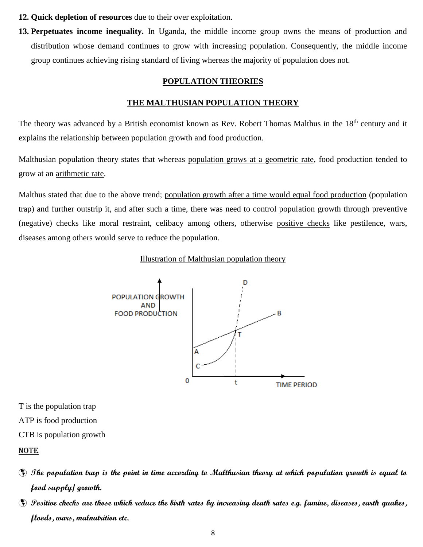- **12. Quick depletion of resources** due to their over exploitation.
- **13. Perpetuates income inequality.** In Uganda, the middle income group owns the means of production and distribution whose demand continues to grow with increasing population. Consequently, the middle income group continues achieving rising standard of living whereas the majority of population does not.

#### **POPULATION THEORIES**

#### **THE MALTHUSIAN POPULATION THEORY**

The theory was advanced by a British economist known as Rev. Robert Thomas Malthus in the 18<sup>th</sup> century and it explains the relationship between population growth and food production.

Malthusian population theory states that whereas population grows at a geometric rate, food production tended to grow at an arithmetic rate.

Malthus stated that due to the above trend; population growth after a time would equal food production (population trap) and further outstrip it, and after such a time, there was need to control population growth through preventive (negative) checks like moral restraint, celibacy among others, otherwise positive checks like pestilence, wars, diseases among others would serve to reduce the population.

#### Illustration of Malthusian population theory



T is the population trap ATP is food production

CTB is population growth

#### NOTE

- **The population trap is the point in time according to Malthusian theory at which population growth is equal to food supply/ growth.**
- **Positive checks are those which reduce the birth rates by increasing death rates e.g. famine, diseases, earth quakes, floods, wars, malnutrition etc.**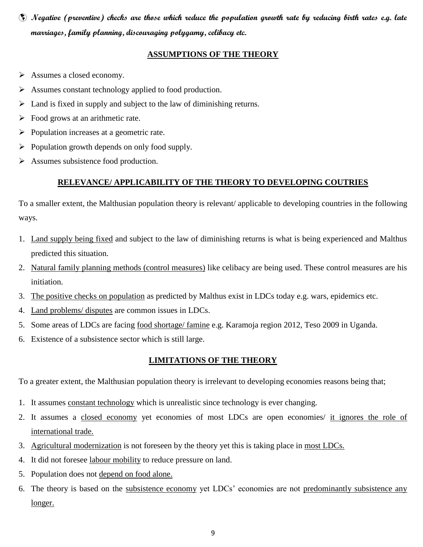**Negative (preventive) checks are those which reduce the population growth rate by reducing birth rates e.g. late marriages, family planning, discouraging polygamy, celibacy etc.**

#### **ASSUMPTIONS OF THE THEORY**

- $\triangleright$  Assumes a closed economy.
- $\triangleright$  Assumes constant technology applied to food production.
- $\triangleright$  Land is fixed in supply and subject to the law of diminishing returns.
- $\triangleright$  Food grows at an arithmetic rate.
- $\triangleright$  Population increases at a geometric rate.
- $\triangleright$  Population growth depends on only food supply.
- $\triangleright$  Assumes subsistence food production.

### **RELEVANCE/ APPLICABILITY OF THE THEORY TO DEVELOPING COUTRIES**

To a smaller extent, the Malthusian population theory is relevant/ applicable to developing countries in the following ways.

- 1. Land supply being fixed and subject to the law of diminishing returns is what is being experienced and Malthus predicted this situation.
- 2. Natural family planning methods (control measures) like celibacy are being used. These control measures are his initiation.
- 3. The positive checks on population as predicted by Malthus exist in LDCs today e.g. wars, epidemics etc.
- 4. Land problems/ disputes are common issues in LDCs.
- 5. Some areas of LDCs are facing food shortage/ famine e.g. Karamoja region 2012, Teso 2009 in Uganda.
- 6. Existence of a subsistence sector which is still large.

### **LIMITATIONS OF THE THEORY**

To a greater extent, the Malthusian population theory is irrelevant to developing economies reasons being that;

- 1. It assumes constant technology which is unrealistic since technology is ever changing.
- 2. It assumes a closed economy yet economies of most LDCs are open economies/ it ignores the role of international trade.
- 3. Agricultural modernization is not foreseen by the theory yet this is taking place in most LDCs.
- 4. It did not foresee labour mobility to reduce pressure on land.
- 5. Population does not depend on food alone.
- 6. The theory is based on the subsistence economy yet LDCs' economies are not predominantly subsistence any longer.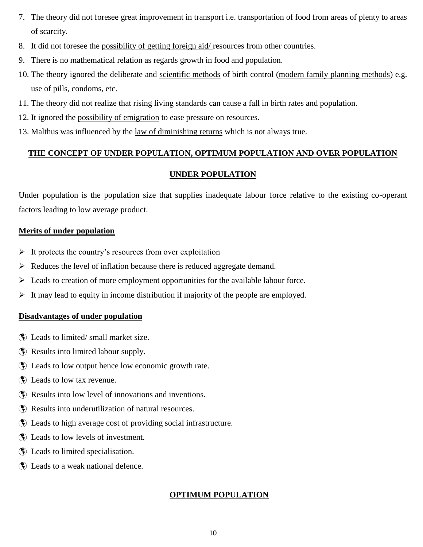- 7. The theory did not foresee great improvement in transport i.e. transportation of food from areas of plenty to areas of scarcity.
- 8. It did not foresee the possibility of getting foreign aid/ resources from other countries.
- 9. There is no mathematical relation as regards growth in food and population.
- 10. The theory ignored the deliberate and scientific methods of birth control (modern family planning methods) e.g. use of pills, condoms, etc.
- 11. The theory did not realize that rising living standards can cause a fall in birth rates and population.
- 12. It ignored the possibility of emigration to ease pressure on resources.
- 13. Malthus was influenced by the law of diminishing returns which is not always true.

### **THE CONCEPT OF UNDER POPULATION, OPTIMUM POPULATION AND OVER POPULATION**

### **UNDER POPULATION**

Under population is the population size that supplies inadequate labour force relative to the existing co-operant factors leading to low average product.

### **Merits of under population**

- $\triangleright$  It protects the country's resources from over exploitation
- $\triangleright$  Reduces the level of inflation because there is reduced aggregate demand.
- $\triangleright$  Leads to creation of more employment opportunities for the available labour force.
- $\triangleright$  It may lead to equity in income distribution if majority of the people are employed.

### **Disadvantages of under population**

- Deads to limited/ small market size.
- Results into limited labour supply.
- Leads to low output hence low economic growth rate.
- Deads to low tax revenue.
- Results into low level of innovations and inventions.
- Results into underutilization of natural resources.
- Leads to high average cost of providing social infrastructure.
- Leads to low levels of investment.
- Leads to limited specialisation.
- Leads to a weak national defence.

### **OPTIMUM POPULATION**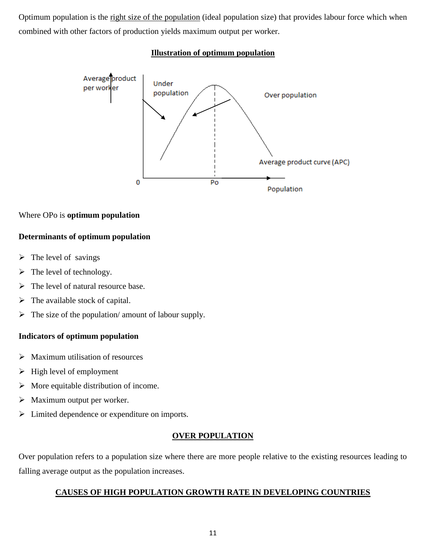Optimum population is the right size of the population (ideal population size) that provides labour force which when combined with other factors of production yields maximum output per worker.

#### **Illustration of optimum population**



### Where OPo is **optimum population**

### **Determinants of optimum population**

- $\triangleright$  The level of savings
- $\triangleright$  The level of technology.
- $\triangleright$  The level of natural resource base.
- $\triangleright$  The available stock of capital.
- $\triangleright$  The size of the population/ amount of labour supply.

### **Indicators of optimum population**

- $\triangleright$  Maximum utilisation of resources
- $\triangleright$  High level of employment
- $\triangleright$  More equitable distribution of income.
- $\triangleright$  Maximum output per worker.
- $\triangleright$  Limited dependence or expenditure on imports.

### **OVER POPULATION**

Over population refers to a population size where there are more people relative to the existing resources leading to falling average output as the population increases.

### **CAUSES OF HIGH POPULATION GROWTH RATE IN DEVELOPING COUNTRIES**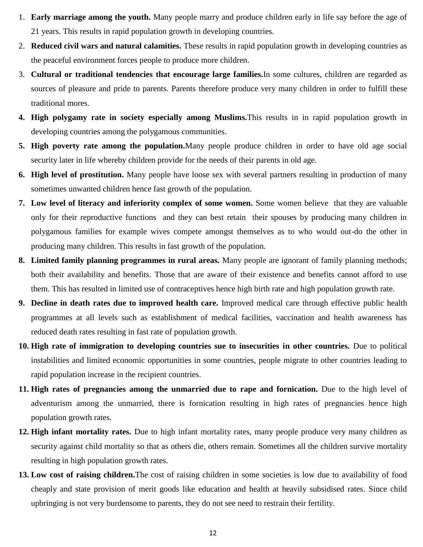- 1. **Early marriage among the youth.** Many people marry and produce children early in life say before the age of 21 years. This results in rapid population growth in developing countries.
- 2. **Reduced civil wars and natural calamities.** These results in rapid population growth in developing countries as the peaceful environment forces people to produce more children.
- 3. **Cultural or traditional tendencies that encourage large families.**In some cultures, children are regarded as sources of pleasure and pride to parents. Parents therefore produce very many children in order to fulfill these traditional mores.
- **4. High polygamy rate in society especially among Muslims.**This results in in rapid population growth in developing countries among the polygamous communities.
- **5. High poverty rate among the population.**Many people produce children in order to have old age social security later in life whereby children provide for the needs of their parents in old age.
- **6. High level of prostitution.** Many people have loose sex with several partners resulting in production of many sometimes unwanted children hence fast growth of the population.
- **7. Low level of literacy and inferiority complex of some women.** Some women believe that they are valuable only for their reproductive functions and they can best retain their spouses by producing many children in polygamous families for example wives compete amongst themselves as to who would out-do the other in producing many children. This results in fast growth of the population.
- **8. Limited family planning programmes in rural areas.** Many people are ignorant of family planning methods; both their availability and benefits. Those that are aware of their existence and benefits cannot afford to use them. This has resulted in limited use of contraceptives hence high birth rate and high population growth rate.
- **9. Decline in death rates due to improved health care.** Improved medical care through effective public health programmes at all levels such as establishment of medical facilities, vaccination and health awareness has reduced death rates resulting in fast rate of population growth.
- **10. High rate of immigration to developing countries sue to insecurities in other countries.** Due to political instabilities and limited economic opportunities in some countries, people migrate to other countries leading to rapid population increase in the recipient countries.
- **11. High rates of pregnancies among the unmarried due to rape and fornication.** Due to the high level of adventurism among the unmarried, there is fornication resulting in high rates of pregnancies hence high population growth rates.
- **12. High infant mortality rates.** Due to high infant mortality rates, many people produce very many children as security against child mortality so that as others die, others remain. Sometimes all the children survive mortality resulting in high population growth rates.
- **13. Low cost of raising children.**The cost of raising children in some societies is low due to availability of food cheaply and state provision of merit goods like education and health at heavily subsidised rates. Since child upbringing is not very burdensome to parents, they do not see need to restrain their fertility.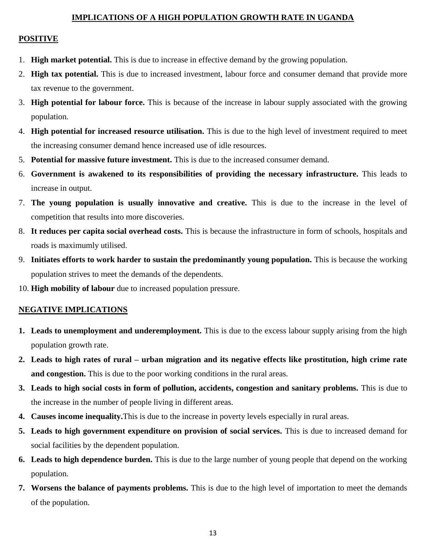#### **IMPLICATIONS OF A HIGH POPULATION GROWTH RATE IN UGANDA**

#### **POSITIVE**

- 1. **High market potential.** This is due to increase in effective demand by the growing population.
- 2. **High tax potential.** This is due to increased investment, labour force and consumer demand that provide more tax revenue to the government.
- 3. **High potential for labour force.** This is because of the increase in labour supply associated with the growing population.
- 4. **High potential for increased resource utilisation.** This is due to the high level of investment required to meet the increasing consumer demand hence increased use of idle resources.
- 5. **Potential for massive future investment.** This is due to the increased consumer demand.
- 6. **Government is awakened to its responsibilities of providing the necessary infrastructure.** This leads to increase in output.
- 7. **The young population is usually innovative and creative.** This is due to the increase in the level of competition that results into more discoveries.
- 8. **It reduces per capita social overhead costs.** This is because the infrastructure in form of schools, hospitals and roads is maximumly utilised.
- 9. **Initiates efforts to work harder to sustain the predominantly young population.** This is because the working population strives to meet the demands of the dependents.
- 10. **High mobility of labour** due to increased population pressure.

#### **NEGATIVE IMPLICATIONS**

- **1. Leads to unemployment and underemployment.** This is due to the excess labour supply arising from the high population growth rate.
- **2. Leads to high rates of rural – urban migration and its negative effects like prostitution, high crime rate and congestion.** This is due to the poor working conditions in the rural areas.
- **3. Leads to high social costs in form of pollution, accidents, congestion and sanitary problems.** This is due to the increase in the number of people living in different areas.
- **4. Causes income inequality.**This is due to the increase in poverty levels especially in rural areas.
- **5. Leads to high government expenditure on provision of social services.** This is due to increased demand for social facilities by the dependent population.
- **6. Leads to high dependence burden.** This is due to the large number of young people that depend on the working population.
- **7. Worsens the balance of payments problems.** This is due to the high level of importation to meet the demands of the population.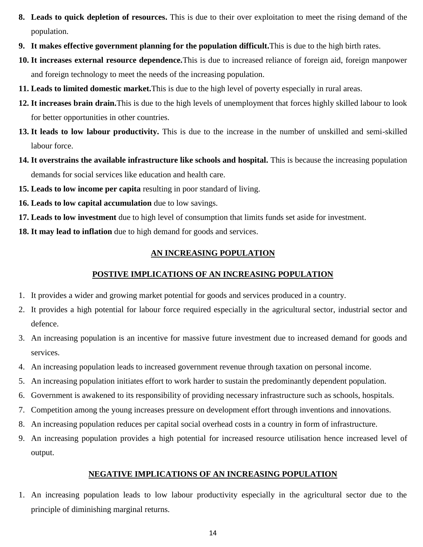- **8. Leads to quick depletion of resources.** This is due to their over exploitation to meet the rising demand of the population.
- **9. It makes effective government planning for the population difficult.**This is due to the high birth rates.
- **10. It increases external resource dependence.**This is due to increased reliance of foreign aid, foreign manpower and foreign technology to meet the needs of the increasing population.
- **11. Leads to limited domestic market.**This is due to the high level of poverty especially in rural areas.
- **12. It increases brain drain.**This is due to the high levels of unemployment that forces highly skilled labour to look for better opportunities in other countries.
- **13. It leads to low labour productivity.** This is due to the increase in the number of unskilled and semi-skilled labour force.
- **14. It overstrains the available infrastructure like schools and hospital.** This is because the increasing population demands for social services like education and health care.
- **15. Leads to low income per capita** resulting in poor standard of living.
- **16. Leads to low capital accumulation** due to low savings.
- **17. Leads to low investment** due to high level of consumption that limits funds set aside for investment.
- **18. It may lead to inflation** due to high demand for goods and services.

### **AN INCREASING POPULATION**

### **POSTIVE IMPLICATIONS OF AN INCREASING POPULATION**

- 1. It provides a wider and growing market potential for goods and services produced in a country.
- 2. It provides a high potential for labour force required especially in the agricultural sector, industrial sector and defence.
- 3. An increasing population is an incentive for massive future investment due to increased demand for goods and services.
- 4. An increasing population leads to increased government revenue through taxation on personal income.
- 5. An increasing population initiates effort to work harder to sustain the predominantly dependent population.
- 6. Government is awakened to its responsibility of providing necessary infrastructure such as schools, hospitals.
- 7. Competition among the young increases pressure on development effort through inventions and innovations.
- 8. An increasing population reduces per capital social overhead costs in a country in form of infrastructure.
- 9. An increasing population provides a high potential for increased resource utilisation hence increased level of output.

### **NEGATIVE IMPLICATIONS OF AN INCREASING POPULATION**

1. An increasing population leads to low labour productivity especially in the agricultural sector due to the principle of diminishing marginal returns.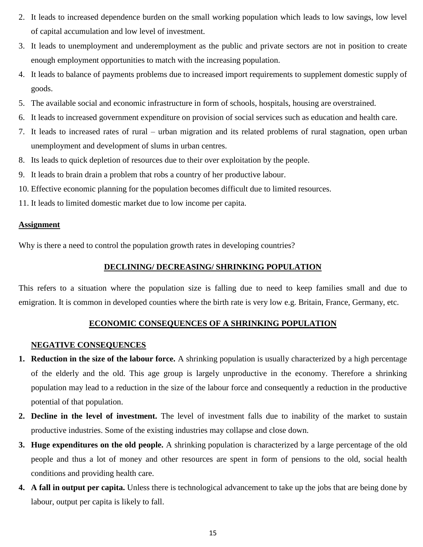- 2. It leads to increased dependence burden on the small working population which leads to low savings, low level of capital accumulation and low level of investment.
- 3. It leads to unemployment and underemployment as the public and private sectors are not in position to create enough employment opportunities to match with the increasing population.
- 4. It leads to balance of payments problems due to increased import requirements to supplement domestic supply of goods.
- 5. The available social and economic infrastructure in form of schools, hospitals, housing are overstrained.
- 6. It leads to increased government expenditure on provision of social services such as education and health care.
- 7. It leads to increased rates of rural urban migration and its related problems of rural stagnation, open urban unemployment and development of slums in urban centres.
- 8. Its leads to quick depletion of resources due to their over exploitation by the people.
- 9. It leads to brain drain a problem that robs a country of her productive labour.
- 10. Effective economic planning for the population becomes difficult due to limited resources.
- 11. It leads to limited domestic market due to low income per capita.

#### **Assignment**

Why is there a need to control the population growth rates in developing countries?

#### **DECLINING/ DECREASING/ SHRINKING POPULATION**

This refers to a situation where the population size is falling due to need to keep families small and due to emigration. It is common in developed counties where the birth rate is very low e.g. Britain, France, Germany, etc.

### **ECONOMIC CONSEQUENCES OF A SHRINKING POPULATION**

#### **NEGATIVE CONSEQUENCES**

- **1. Reduction in the size of the labour force.** A shrinking population is usually characterized by a high percentage of the elderly and the old. This age group is largely unproductive in the economy. Therefore a shrinking population may lead to a reduction in the size of the labour force and consequently a reduction in the productive potential of that population.
- **2. Decline in the level of investment.** The level of investment falls due to inability of the market to sustain productive industries. Some of the existing industries may collapse and close down.
- **3. Huge expenditures on the old people.** A shrinking population is characterized by a large percentage of the old people and thus a lot of money and other resources are spent in form of pensions to the old, social health conditions and providing health care.
- **4. A fall in output per capita.** Unless there is technological advancement to take up the jobs that are being done by labour, output per capita is likely to fall.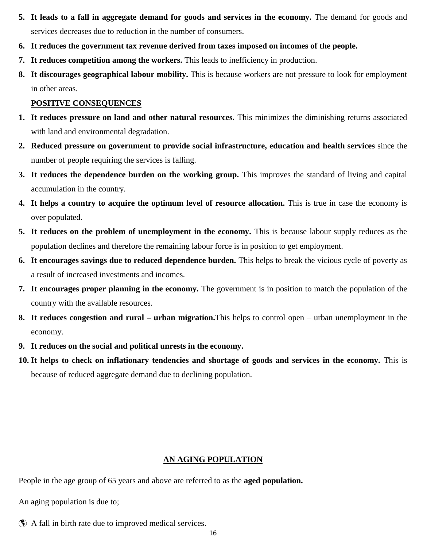- **5. It leads to a fall in aggregate demand for goods and services in the economy.** The demand for goods and services decreases due to reduction in the number of consumers.
- **6. It reduces the government tax revenue derived from taxes imposed on incomes of the people.**
- **7. It reduces competition among the workers.** This leads to inefficiency in production.
- **8. It discourages geographical labour mobility.** This is because workers are not pressure to look for employment in other areas.

#### **POSITIVE CONSEQUENCES**

- **1. It reduces pressure on land and other natural resources.** This minimizes the diminishing returns associated with land and environmental degradation.
- **2. Reduced pressure on government to provide social infrastructure, education and health services** since the number of people requiring the services is falling.
- **3.** It reduces the dependence burden on the working group. This improves the standard of living and capital accumulation in the country.
- **4. It helps a country to acquire the optimum level of resource allocation.** This is true in case the economy is over populated.
- **5. It reduces on the problem of unemployment in the economy.** This is because labour supply reduces as the population declines and therefore the remaining labour force is in position to get employment.
- **6. It encourages savings due to reduced dependence burden.** This helps to break the vicious cycle of poverty as a result of increased investments and incomes.
- **7. It encourages proper planning in the economy.** The government is in position to match the population of the country with the available resources.
- **8. It reduces congestion and rural – urban migration.**This helps to control open urban unemployment in the economy.
- **9. It reduces on the social and political unrests in the economy.**
- **10. It helps to check on inflationary tendencies and shortage of goods and services in the economy.** This is because of reduced aggregate demand due to declining population.

#### **AN AGING POPULATION**

People in the age group of 65 years and above are referred to as the **aged population.**

An aging population is due to;

A fall in birth rate due to improved medical services.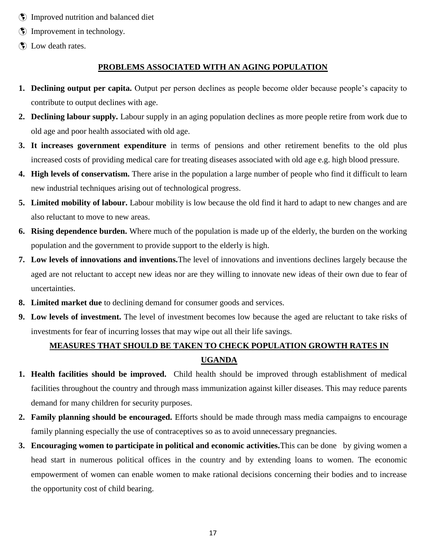- Improved nutrition and balanced diet
- $\bullet$  Improvement in technology.
- Dow death rates.

### **PROBLEMS ASSOCIATED WITH AN AGING POPULATION**

- **1. Declining output per capita.** Output per person declines as people become older because people's capacity to contribute to output declines with age.
- **2. Declining labour supply.** Labour supply in an aging population declines as more people retire from work due to old age and poor health associated with old age.
- **3. It increases government expenditure** in terms of pensions and other retirement benefits to the old plus increased costs of providing medical care for treating diseases associated with old age e.g. high blood pressure.
- **4. High levels of conservatism.** There arise in the population a large number of people who find it difficult to learn new industrial techniques arising out of technological progress.
- **5. Limited mobility of labour.** Labour mobility is low because the old find it hard to adapt to new changes and are also reluctant to move to new areas.
- **6. Rising dependence burden.** Where much of the population is made up of the elderly, the burden on the working population and the government to provide support to the elderly is high.
- **7. Low levels of innovations and inventions.**The level of innovations and inventions declines largely because the aged are not reluctant to accept new ideas nor are they willing to innovate new ideas of their own due to fear of uncertainties.
- **8. Limited market due** to declining demand for consumer goods and services.
- **9. Low levels of investment.** The level of investment becomes low because the aged are reluctant to take risks of investments for fear of incurring losses that may wipe out all their life savings.

### **MEASURES THAT SHOULD BE TAKEN TO CHECK POPULATION GROWTH RATES IN UGANDA**

- **1. Health facilities should be improved.** Child health should be improved through establishment of medical facilities throughout the country and through mass immunization against killer diseases. This may reduce parents demand for many children for security purposes.
- **2. Family planning should be encouraged.** Efforts should be made through mass media campaigns to encourage family planning especially the use of contraceptives so as to avoid unnecessary pregnancies.
- **3. Encouraging women to participate in political and economic activities.**This can be done by giving women a head start in numerous political offices in the country and by extending loans to women. The economic empowerment of women can enable women to make rational decisions concerning their bodies and to increase the opportunity cost of child bearing.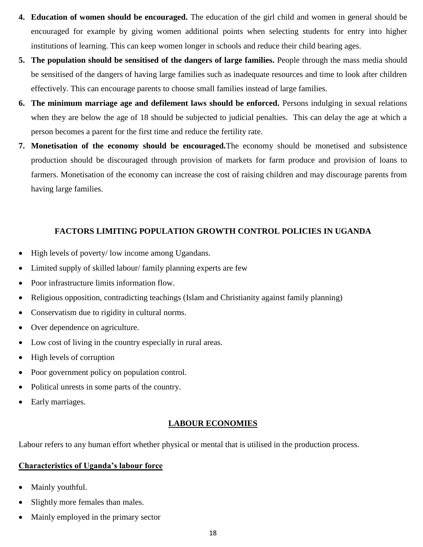- **4. Education of women should be encouraged.** The education of the girl child and women in general should be encouraged for example by giving women additional points when selecting students for entry into higher institutions of learning. This can keep women longer in schools and reduce their child bearing ages.
- **5. The population should be sensitised of the dangers of large families.** People through the mass media should be sensitised of the dangers of having large families such as inadequate resources and time to look after children effectively. This can encourage parents to choose small families instead of large families.
- **6. The minimum marriage age and defilement laws should be enforced.** Persons indulging in sexual relations when they are below the age of 18 should be subjected to judicial penalties. This can delay the age at which a person becomes a parent for the first time and reduce the fertility rate.
- **7. Monetisation of the economy should be encouraged.**The economy should be monetised and subsistence production should be discouraged through provision of markets for farm produce and provision of loans to farmers. Monetisation of the economy can increase the cost of raising children and may discourage parents from having large families.

### **FACTORS LIMITING POPULATION GROWTH CONTROL POLICIES IN UGANDA**

- High levels of poverty/ low income among Ugandans.
- Limited supply of skilled labour/ family planning experts are few
- Poor infrastructure limits information flow.
- Religious opposition, contradicting teachings (Islam and Christianity against family planning)
- Conservatism due to rigidity in cultural norms.
- Over dependence on agriculture.
- Low cost of living in the country especially in rural areas.
- High levels of corruption
- Poor government policy on population control.
- Political unrests in some parts of the country.
- Early marriages.

### **LABOUR ECONOMIES**

Labour refers to any human effort whether physical or mental that is utilised in the production process.

### **Characteristics of Uganda's labour force**

- Mainly youthful.
- Slightly more females than males.
- Mainly employed in the primary sector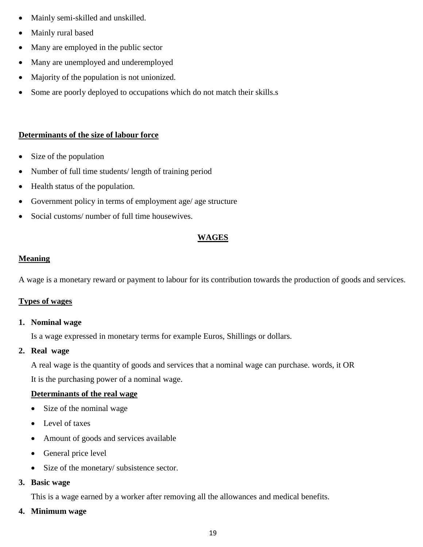- Mainly semi-skilled and unskilled.
- Mainly rural based
- Many are employed in the public sector
- Many are unemployed and underemployed
- Majority of the population is not unionized.
- Some are poorly deployed to occupations which do not match their skills.s

### **Determinants of the size of labour force**

- Size of the population
- Number of full time students/ length of training period
- Health status of the population.
- Government policy in terms of employment age/ age structure
- Social customs/ number of full time housewives.

### **WAGES**

### **Meaning**

A wage is a monetary reward or payment to labour for its contribution towards the production of goods and services.

### **Types of wages**

### **1. Nominal wage**

Is a wage expressed in monetary terms for example Euros, Shillings or dollars.

### **2. Real wage**

A real wage is the quantity of goods and services that a nominal wage can purchase. words, it OR

It is the purchasing power of a nominal wage.

### **Determinants of the real wage**

- Size of the nominal wage
- Level of taxes
- Amount of goods and services available
- General price level
- Size of the monetary/ subsistence sector.

### **3. Basic wage**

This is a wage earned by a worker after removing all the allowances and medical benefits.

### **4. Minimum wage**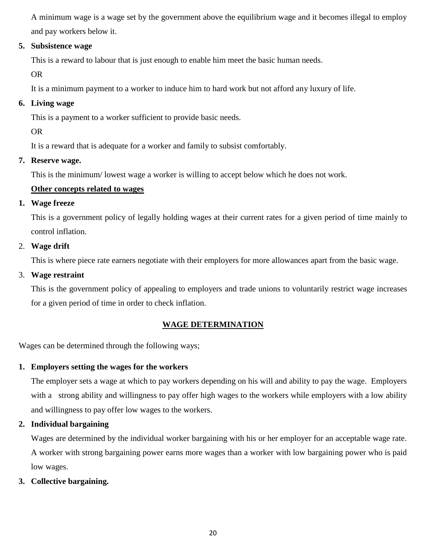A minimum wage is a wage set by the government above the equilibrium wage and it becomes illegal to employ and pay workers below it.

### **5. Subsistence wage**

This is a reward to labour that is just enough to enable him meet the basic human needs.

OR

It is a minimum payment to a worker to induce him to hard work but not afford any luxury of life.

### **6. Living wage**

This is a payment to a worker sufficient to provide basic needs.

OR

It is a reward that is adequate for a worker and family to subsist comfortably.

### **7. Reserve wage.**

This is the minimum/ lowest wage a worker is willing to accept below which he does not work.

### **Other concepts related to wages**

### **1. Wage freeze**

This is a government policy of legally holding wages at their current rates for a given period of time mainly to control inflation.

### 2. **Wage drift**

This is where piece rate earners negotiate with their employers for more allowances apart from the basic wage.

### 3. **Wage restraint**

This is the government policy of appealing to employers and trade unions to voluntarily restrict wage increases for a given period of time in order to check inflation.

### **WAGE DETERMINATION**

Wages can be determined through the following ways;

### **1. Employers setting the wages for the workers**

The employer sets a wage at which to pay workers depending on his will and ability to pay the wage. Employers with a strong ability and willingness to pay offer high wages to the workers while employers with a low ability and willingness to pay offer low wages to the workers.

### **2. Individual bargaining**

Wages are determined by the individual worker bargaining with his or her employer for an acceptable wage rate. A worker with strong bargaining power earns more wages than a worker with low bargaining power who is paid low wages.

### **3. Collective bargaining.**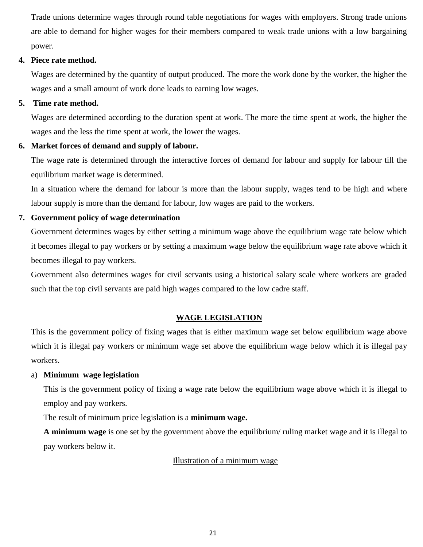Trade unions determine wages through round table negotiations for wages with employers. Strong trade unions are able to demand for higher wages for their members compared to weak trade unions with a low bargaining power.

#### **4. Piece rate method.**

Wages are determined by the quantity of output produced. The more the work done by the worker, the higher the wages and a small amount of work done leads to earning low wages.

### **5. Time rate method.**

Wages are determined according to the duration spent at work. The more the time spent at work, the higher the wages and the less the time spent at work, the lower the wages.

### **6. Market forces of demand and supply of labour.**

The wage rate is determined through the interactive forces of demand for labour and supply for labour till the equilibrium market wage is determined.

In a situation where the demand for labour is more than the labour supply, wages tend to be high and where labour supply is more than the demand for labour, low wages are paid to the workers.

### **7. Government policy of wage determination**

Government determines wages by either setting a minimum wage above the equilibrium wage rate below which it becomes illegal to pay workers or by setting a maximum wage below the equilibrium wage rate above which it becomes illegal to pay workers.

Government also determines wages for civil servants using a historical salary scale where workers are graded such that the top civil servants are paid high wages compared to the low cadre staff.

### **WAGE LEGISLATION**

This is the government policy of fixing wages that is either maximum wage set below equilibrium wage above which it is illegal pay workers or minimum wage set above the equilibrium wage below which it is illegal pay workers.

### a) **Minimum wage legislation**

This is the government policy of fixing a wage rate below the equilibrium wage above which it is illegal to employ and pay workers.

The result of minimum price legislation is a **minimum wage.**

**A minimum wage** is one set by the government above the equilibrium/ ruling market wage and it is illegal to pay workers below it.

### Illustration of a minimum wage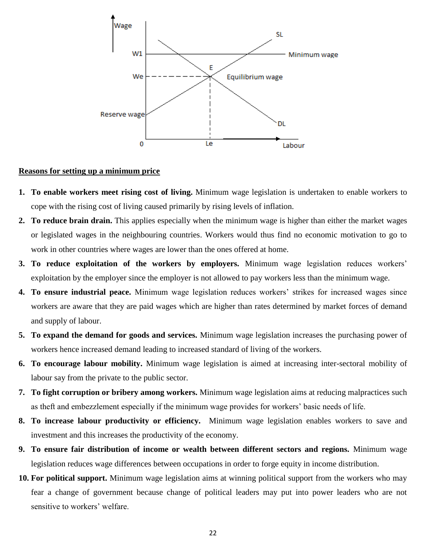

#### **Reasons for setting up a minimum price**

- **1. To enable workers meet rising cost of living.** Minimum wage legislation is undertaken to enable workers to cope with the rising cost of living caused primarily by rising levels of inflation.
- **2. To reduce brain drain.** This applies especially when the minimum wage is higher than either the market wages or legislated wages in the neighbouring countries. Workers would thus find no economic motivation to go to work in other countries where wages are lower than the ones offered at home.
- **3. To reduce exploitation of the workers by employers.** Minimum wage legislation reduces workers' exploitation by the employer since the employer is not allowed to pay workers less than the minimum wage.
- **4. To ensure industrial peace.** Minimum wage legislation reduces workers' strikes for increased wages since workers are aware that they are paid wages which are higher than rates determined by market forces of demand and supply of labour.
- **5. To expand the demand for goods and services.** Minimum wage legislation increases the purchasing power of workers hence increased demand leading to increased standard of living of the workers.
- **6. To encourage labour mobility.** Minimum wage legislation is aimed at increasing inter-sectoral mobility of labour say from the private to the public sector.
- **7. To fight corruption or bribery among workers.** Minimum wage legislation aims at reducing malpractices such as theft and embezzlement especially if the minimum wage provides for workers' basic needs of life.
- **8. To increase labour productivity or efficiency.** Minimum wage legislation enables workers to save and investment and this increases the productivity of the economy.
- **9. To ensure fair distribution of income or wealth between different sectors and regions.** Minimum wage legislation reduces wage differences between occupations in order to forge equity in income distribution.
- **10. For political support.** Minimum wage legislation aims at winning political support from the workers who may fear a change of government because change of political leaders may put into power leaders who are not sensitive to workers' welfare.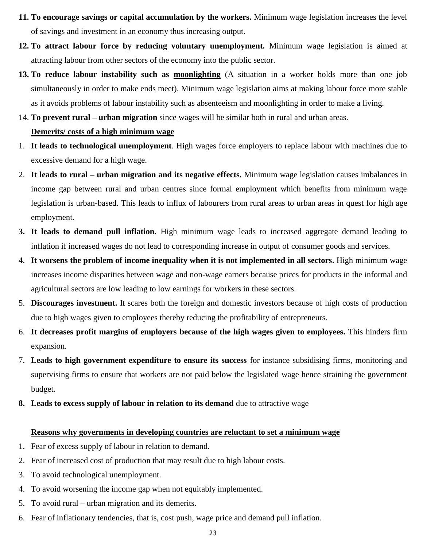- **11. To encourage savings or capital accumulation by the workers.** Minimum wage legislation increases the level of savings and investment in an economy thus increasing output.
- **12. To attract labour force by reducing voluntary unemployment.** Minimum wage legislation is aimed at attracting labour from other sectors of the economy into the public sector.
- **13. To reduce labour instability such as moonlighting** (A situation in a worker holds more than one job simultaneously in order to make ends meet). Minimum wage legislation aims at making labour force more stable as it avoids problems of labour instability such as absenteeism and moonlighting in order to make a living.
- 14. **To prevent rural – urban migration** since wages will be similar both in rural and urban areas.

### **Demerits/ costs of a high minimum wage**

- 1. **It leads to technological unemployment**. High wages force employers to replace labour with machines due to excessive demand for a high wage.
- 2. **It leads to rural – urban migration and its negative effects.** Minimum wage legislation causes imbalances in income gap between rural and urban centres since formal employment which benefits from minimum wage legislation is urban-based. This leads to influx of labourers from rural areas to urban areas in quest for high age employment.
- **3. It leads to demand pull inflation.** High minimum wage leads to increased aggregate demand leading to inflation if increased wages do not lead to corresponding increase in output of consumer goods and services.
- 4. **It worsens the problem of income inequality when it is not implemented in all sectors.** High minimum wage increases income disparities between wage and non-wage earners because prices for products in the informal and agricultural sectors are low leading to low earnings for workers in these sectors.
- 5. **Discourages investment.** It scares both the foreign and domestic investors because of high costs of production due to high wages given to employees thereby reducing the profitability of entrepreneurs.
- 6. **It decreases profit margins of employers because of the high wages given to employees.** This hinders firm expansion.
- 7. **Leads to high government expenditure to ensure its success** for instance subsidising firms, monitoring and supervising firms to ensure that workers are not paid below the legislated wage hence straining the government budget.
- **8. Leads to excess supply of labour in relation to its demand** due to attractive wage

#### **Reasons why governments in developing countries are reluctant to set a minimum wage**

- 1. Fear of excess supply of labour in relation to demand.
- 2. Fear of increased cost of production that may result due to high labour costs.
- 3. To avoid technological unemployment.
- 4. To avoid worsening the income gap when not equitably implemented.
- 5. To avoid rural urban migration and its demerits.
- 6. Fear of inflationary tendencies, that is, cost push, wage price and demand pull inflation.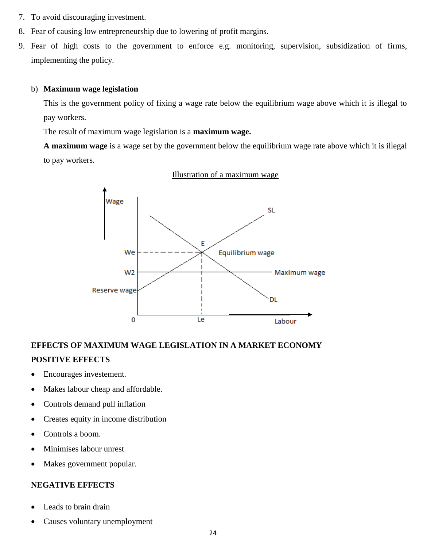- 7. To avoid discouraging investment.
- 8. Fear of causing low entrepreneurship due to lowering of profit margins.
- 9. Fear of high costs to the government to enforce e.g. monitoring, supervision, subsidization of firms, implementing the policy.

#### b) **Maximum wage legislation**

This is the government policy of fixing a wage rate below the equilibrium wage above which it is illegal to pay workers.

The result of maximum wage legislation is a **maximum wage.**

**A maximum wage** is a wage set by the government below the equilibrium wage rate above which it is illegal to pay workers.



#### Illustration of a maximum wage

### **EFFECTS OF MAXIMUM WAGE LEGISLATION IN A MARKET ECONOMY POSITIVE EFFECTS**

- Encourages investement.
- Makes labour cheap and affordable.
- Controls demand pull inflation
- Creates equity in income distribution
- Controls a boom.
- Minimises labour unrest
- Makes government popular.

#### **NEGATIVE EFFECTS**

- Leads to brain drain
- Causes voluntary unemployment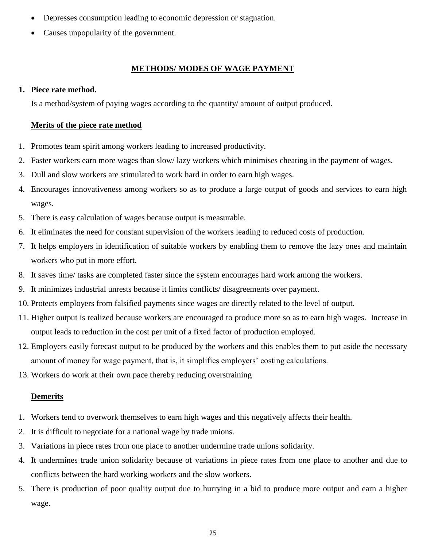- Depresses consumption leading to economic depression or stagnation.
- Causes unpopularity of the government.

### **METHODS/ MODES OF WAGE PAYMENT**

### **1. Piece rate method.**

Is a method/system of paying wages according to the quantity/ amount of output produced.

### **Merits of the piece rate method**

- 1. Promotes team spirit among workers leading to increased productivity.
- 2. Faster workers earn more wages than slow/ lazy workers which minimises cheating in the payment of wages.
- 3. Dull and slow workers are stimulated to work hard in order to earn high wages.
- 4. Encourages innovativeness among workers so as to produce a large output of goods and services to earn high wages.
- 5. There is easy calculation of wages because output is measurable.
- 6. It eliminates the need for constant supervision of the workers leading to reduced costs of production.
- 7. It helps employers in identification of suitable workers by enabling them to remove the lazy ones and maintain workers who put in more effort.
- 8. It saves time/ tasks are completed faster since the system encourages hard work among the workers.
- 9. It minimizes industrial unrests because it limits conflicts/ disagreements over payment.
- 10. Protects employers from falsified payments since wages are directly related to the level of output.
- 11. Higher output is realized because workers are encouraged to produce more so as to earn high wages. Increase in output leads to reduction in the cost per unit of a fixed factor of production employed.
- 12. Employers easily forecast output to be produced by the workers and this enables them to put aside the necessary amount of money for wage payment, that is, it simplifies employers' costing calculations.
- 13. Workers do work at their own pace thereby reducing overstraining

### **Demerits**

- 1. Workers tend to overwork themselves to earn high wages and this negatively affects their health.
- 2. It is difficult to negotiate for a national wage by trade unions.
- 3. Variations in piece rates from one place to another undermine trade unions solidarity.
- 4. It undermines trade union solidarity because of variations in piece rates from one place to another and due to conflicts between the hard working workers and the slow workers.
- 5. There is production of poor quality output due to hurrying in a bid to produce more output and earn a higher wage.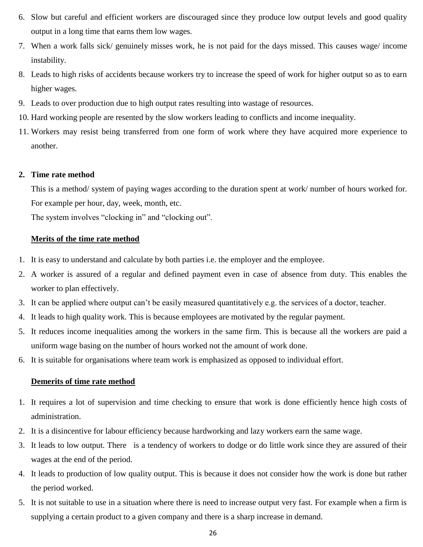- 6. Slow but careful and efficient workers are discouraged since they produce low output levels and good quality output in a long time that earns them low wages.
- 7. When a work falls sick/ genuinely misses work, he is not paid for the days missed. This causes wage/ income instability.
- 8. Leads to high risks of accidents because workers try to increase the speed of work for higher output so as to earn higher wages.
- 9. Leads to over production due to high output rates resulting into wastage of resources.
- 10. Hard working people are resented by the slow workers leading to conflicts and income inequality.
- 11. Workers may resist being transferred from one form of work where they have acquired more experience to another.

### **2. Time rate method**

This is a method/ system of paying wages according to the duration spent at work/ number of hours worked for. For example per hour, day, week, month, etc.

The system involves "clocking in" and "clocking out".

### **Merits of the time rate method**

- 1. It is easy to understand and calculate by both parties i.e. the employer and the employee.
- 2. A worker is assured of a regular and defined payment even in case of absence from duty. This enables the worker to plan effectively.
- 3. It can be applied where output can't be easily measured quantitatively e.g. the services of a doctor, teacher.
- 4. It leads to high quality work. This is because employees are motivated by the regular payment.
- 5. It reduces income inequalities among the workers in the same firm. This is because all the workers are paid a uniform wage basing on the number of hours worked not the amount of work done.
- 6. It is suitable for organisations where team work is emphasized as opposed to individual effort.

### **Demerits of time rate method**

- 1. It requires a lot of supervision and time checking to ensure that work is done efficiently hence high costs of administration.
- 2. It is a disincentive for labour efficiency because hardworking and lazy workers earn the same wage.
- 3. It leads to low output. There is a tendency of workers to dodge or do little work since they are assured of their wages at the end of the period.
- 4. It leads to production of low quality output. This is because it does not consider how the work is done but rather the period worked.
- 5. It is not suitable to use in a situation where there is need to increase output very fast. For example when a firm is supplying a certain product to a given company and there is a sharp increase in demand.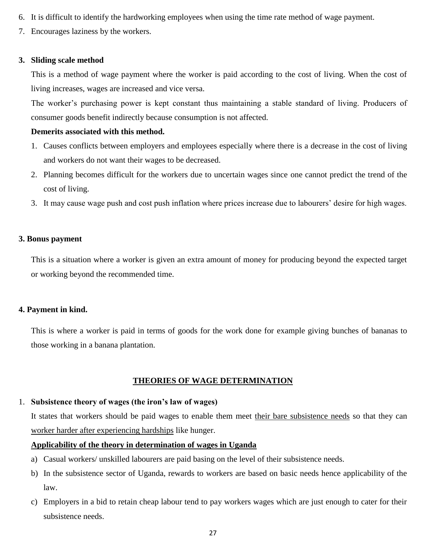- 6. It is difficult to identify the hardworking employees when using the time rate method of wage payment.
- 7. Encourages laziness by the workers.

#### **3. Sliding scale method**

This is a method of wage payment where the worker is paid according to the cost of living. When the cost of living increases, wages are increased and vice versa.

The worker's purchasing power is kept constant thus maintaining a stable standard of living. Producers of consumer goods benefit indirectly because consumption is not affected.

#### **Demerits associated with this method.**

- 1. Causes conflicts between employers and employees especially where there is a decrease in the cost of living and workers do not want their wages to be decreased.
- 2. Planning becomes difficult for the workers due to uncertain wages since one cannot predict the trend of the cost of living.
- 3. It may cause wage push and cost push inflation where prices increase due to labourers' desire for high wages.

#### **3. Bonus payment**

This is a situation where a worker is given an extra amount of money for producing beyond the expected target or working beyond the recommended time.

#### **4. Payment in kind.**

This is where a worker is paid in terms of goods for the work done for example giving bunches of bananas to those working in a banana plantation.

### **THEORIES OF WAGE DETERMINATION**

#### 1. **Subsistence theory of wages (the iron's law of wages)**

It states that workers should be paid wages to enable them meet their bare subsistence needs so that they can worker harder after experiencing hardships like hunger.

#### **Applicability of the theory in determination of wages in Uganda**

- a) Casual workers/ unskilled labourers are paid basing on the level of their subsistence needs.
- b) In the subsistence sector of Uganda, rewards to workers are based on basic needs hence applicability of the law.
- c) Employers in a bid to retain cheap labour tend to pay workers wages which are just enough to cater for their subsistence needs.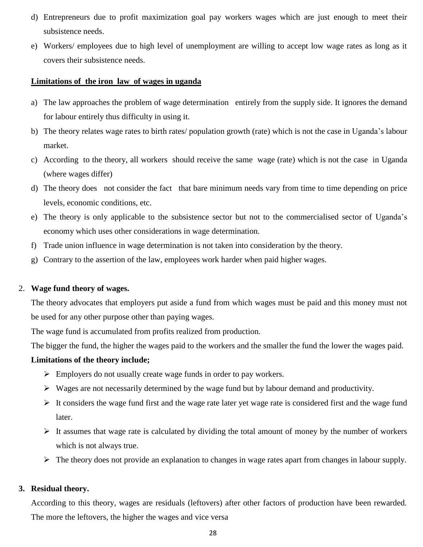- d) Entrepreneurs due to profit maximization goal pay workers wages which are just enough to meet their subsistence needs.
- e) Workers/ employees due to high level of unemployment are willing to accept low wage rates as long as it covers their subsistence needs.

#### **Limitations of the iron law of wages in uganda**

- a) The law approaches the problem of wage determination entirely from the supply side. It ignores the demand for labour entirely thus difficulty in using it.
- b) The theory relates wage rates to birth rates/ population growth (rate) which is not the case in Uganda's labour market.
- c) According to the theory, all workers should receive the same wage (rate) which is not the case in Uganda (where wages differ)
- d) The theory does not consider the fact that bare minimum needs vary from time to time depending on price levels, economic conditions, etc.
- e) The theory is only applicable to the subsistence sector but not to the commercialised sector of Uganda's economy which uses other considerations in wage determination.
- f) Trade union influence in wage determination is not taken into consideration by the theory.
- g) Contrary to the assertion of the law, employees work harder when paid higher wages.

#### 2. **Wage fund theory of wages.**

The theory advocates that employers put aside a fund from which wages must be paid and this money must not be used for any other purpose other than paying wages.

The wage fund is accumulated from profits realized from production.

The bigger the fund, the higher the wages paid to the workers and the smaller the fund the lower the wages paid.

#### **Limitations of the theory include;**

- $\triangleright$  Employers do not usually create wage funds in order to pay workers.
- $\triangleright$  Wages are not necessarily determined by the wage fund but by labour demand and productivity.
- $\triangleright$  It considers the wage fund first and the wage rate later yet wage rate is considered first and the wage fund later.
- $\triangleright$  It assumes that wage rate is calculated by dividing the total amount of money by the number of workers which is not always true.
- $\triangleright$  The theory does not provide an explanation to changes in wage rates apart from changes in labour supply.

#### **3. Residual theory.**

According to this theory, wages are residuals (leftovers) after other factors of production have been rewarded. The more the leftovers, the higher the wages and vice versa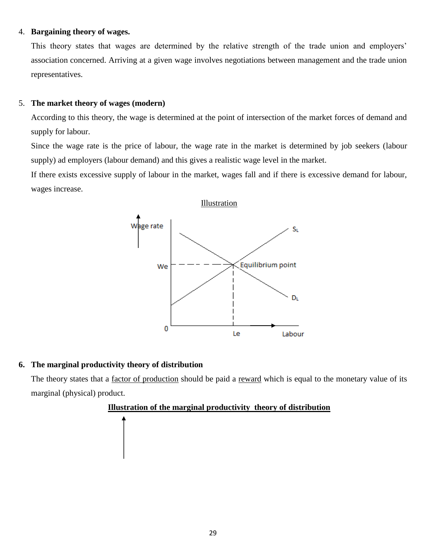#### 4. **Bargaining theory of wages.**

This theory states that wages are determined by the relative strength of the trade union and employers' association concerned. Arriving at a given wage involves negotiations between management and the trade union representatives.

### 5. **The market theory of wages (modern)**

According to this theory, the wage is determined at the point of intersection of the market forces of demand and supply for labour.

Since the wage rate is the price of labour, the wage rate in the market is determined by job seekers (labour supply) ad employers (labour demand) and this gives a realistic wage level in the market.

If there exists excessive supply of labour in the market, wages fall and if there is excessive demand for labour, wages increase.



### **6. The marginal productivity theory of distribution**

The theory states that a factor of production should be paid a reward which is equal to the monetary value of its marginal (physical) product.

### **Illustration of the marginal productivity theory of distribution**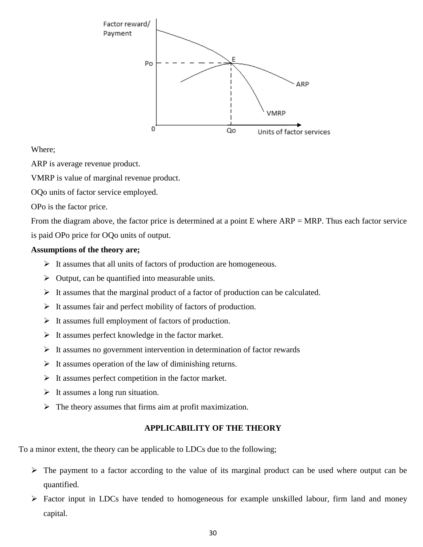

### Where;

ARP is average revenue product.

VMRP is value of marginal revenue product.

OQo units of factor service employed.

OPo is the factor price.

From the diagram above, the factor price is determined at a point  $E$  where  $ARP = MRP$ . Thus each factor service is paid OPo price for OQo units of output.

### **Assumptions of the theory are;**

- $\triangleright$  It assumes that all units of factors of production are homogeneous.
- $\triangleright$  Output, can be quantified into measurable units.
- $\triangleright$  It assumes that the marginal product of a factor of production can be calculated.
- $\triangleright$  It assumes fair and perfect mobility of factors of production.
- $\triangleright$  It assumes full employment of factors of production.
- $\triangleright$  It assumes perfect knowledge in the factor market.
- $\triangleright$  It assumes no government intervention in determination of factor rewards
- $\triangleright$  It assumes operation of the law of diminishing returns.
- $\triangleright$  It assumes perfect competition in the factor market.
- $\triangleright$  It assumes a long run situation.
- $\triangleright$  The theory assumes that firms aim at profit maximization.

### **APPLICABILITY OF THE THEORY**

To a minor extent, the theory can be applicable to LDCs due to the following;

- $\triangleright$  The payment to a factor according to the value of its marginal product can be used where output can be quantified.
- $\triangleright$  Factor input in LDCs have tended to homogeneous for example unskilled labour, firm land and money capital.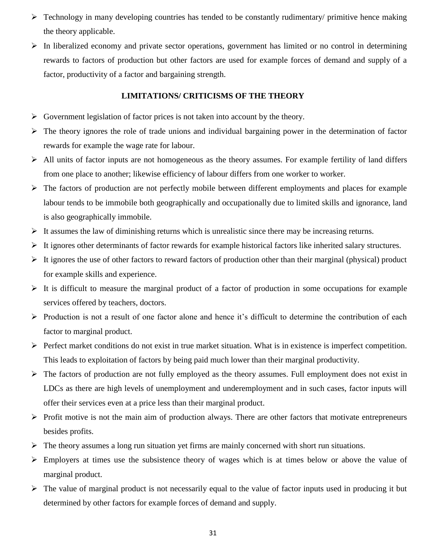- $\triangleright$  Technology in many developing countries has tended to be constantly rudimentary/ primitive hence making the theory applicable.
- $\triangleright$  In liberalized economy and private sector operations, government has limited or no control in determining rewards to factors of production but other factors are used for example forces of demand and supply of a factor, productivity of a factor and bargaining strength.

#### **LIMITATIONS/ CRITICISMS OF THE THEORY**

- $\triangleright$  Government legislation of factor prices is not taken into account by the theory.
- $\triangleright$  The theory ignores the role of trade unions and individual bargaining power in the determination of factor rewards for example the wage rate for labour.
- $\triangleright$  All units of factor inputs are not homogeneous as the theory assumes. For example fertility of land differs from one place to another; likewise efficiency of labour differs from one worker to worker.
- $\triangleright$  The factors of production are not perfectly mobile between different employments and places for example labour tends to be immobile both geographically and occupationally due to limited skills and ignorance, land is also geographically immobile.
- $\triangleright$  It assumes the law of diminishing returns which is unrealistic since there may be increasing returns.
- $\triangleright$  It ignores other determinants of factor rewards for example historical factors like inherited salary structures.
- $\triangleright$  It ignores the use of other factors to reward factors of production other than their marginal (physical) product for example skills and experience.
- $\triangleright$  It is difficult to measure the marginal product of a factor of production in some occupations for example services offered by teachers, doctors.
- $\triangleright$  Production is not a result of one factor alone and hence it's difficult to determine the contribution of each factor to marginal product.
- $\triangleright$  Perfect market conditions do not exist in true market situation. What is in existence is imperfect competition. This leads to exploitation of factors by being paid much lower than their marginal productivity.
- $\triangleright$  The factors of production are not fully employed as the theory assumes. Full employment does not exist in LDCs as there are high levels of unemployment and underemployment and in such cases, factor inputs will offer their services even at a price less than their marginal product.
- $\triangleright$  Profit motive is not the main aim of production always. There are other factors that motivate entrepreneurs besides profits.
- $\triangleright$  The theory assumes a long run situation yet firms are mainly concerned with short run situations.
- $\triangleright$  Employers at times use the subsistence theory of wages which is at times below or above the value of marginal product.
- $\triangleright$  The value of marginal product is not necessarily equal to the value of factor inputs used in producing it but determined by other factors for example forces of demand and supply.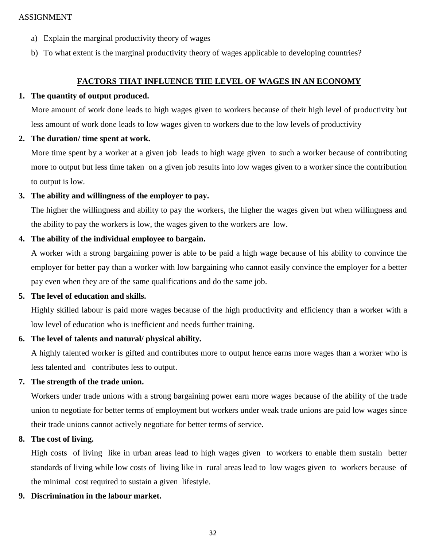#### ASSIGNMENT

- a) Explain the marginal productivity theory of wages
- b) To what extent is the marginal productivity theory of wages applicable to developing countries?

### **FACTORS THAT INFLUENCE THE LEVEL OF WAGES IN AN ECONOMY**

### **1. The quantity of output produced.**

More amount of work done leads to high wages given to workers because of their high level of productivity but less amount of work done leads to low wages given to workers due to the low levels of productivity

### **2. The duration/ time spent at work.**

More time spent by a worker at a given job leads to high wage given to such a worker because of contributing more to output but less time taken on a given job results into low wages given to a worker since the contribution to output is low.

### **3. The ability and willingness of the employer to pay.**

The higher the willingness and ability to pay the workers, the higher the wages given but when willingness and the ability to pay the workers is low, the wages given to the workers are low.

### **4. The ability of the individual employee to bargain.**

A worker with a strong bargaining power is able to be paid a high wage because of his ability to convince the employer for better pay than a worker with low bargaining who cannot easily convince the employer for a better pay even when they are of the same qualifications and do the same job.

### **5. The level of education and skills.**

Highly skilled labour is paid more wages because of the high productivity and efficiency than a worker with a low level of education who is inefficient and needs further training.

### **6. The level of talents and natural/ physical ability.**

A highly talented worker is gifted and contributes more to output hence earns more wages than a worker who is less talented and contributes less to output.

### **7. The strength of the trade union.**

Workers under trade unions with a strong bargaining power earn more wages because of the ability of the trade union to negotiate for better terms of employment but workers under weak trade unions are paid low wages since their trade unions cannot actively negotiate for better terms of service.

### **8. The cost of living.**

High costs of living like in urban areas lead to high wages given to workers to enable them sustain better standards of living while low costs of living like in rural areas lead to low wages given to workers because of the minimal cost required to sustain a given lifestyle.

### **9. Discrimination in the labour market.**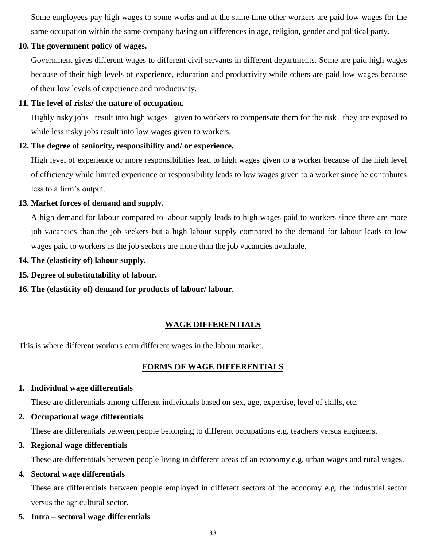Some employees pay high wages to some works and at the same time other workers are paid low wages for the same occupation within the same company basing on differences in age, religion, gender and political party.

### **10. The government policy of wages.**

Government gives different wages to different civil servants in different departments. Some are paid high wages because of their high levels of experience, education and productivity while others are paid low wages because of their low levels of experience and productivity.

### **11. The level of risks/ the nature of occupation.**

Highly risky jobs result into high wages given to workers to compensate them for the risk they are exposed to while less risky jobs result into low wages given to workers.

### **12. The degree of seniority, responsibility and/ or experience.**

High level of experience or more responsibilities lead to high wages given to a worker because of the high level of efficiency while limited experience or responsibility leads to low wages given to a worker since he contributes less to a firm's output.

### **13. Market forces of demand and supply.**

A high demand for labour compared to labour supply leads to high wages paid to workers since there are more job vacancies than the job seekers but a high labour supply compared to the demand for labour leads to low wages paid to workers as the job seekers are more than the job vacancies available.

- **14. The (elasticity of) labour supply.**
- **15. Degree of substitutability of labour.**
- **16. The (elasticity of) demand for products of labour/ labour.**

### **WAGE DIFFERENTIALS**

This is where different workers earn different wages in the labour market.

### **FORMS OF WAGE DIFFERENTIALS**

### **1. Individual wage differentials**

These are differentials among different individuals based on sex, age, expertise, level of skills, etc.

**2. Occupational wage differentials**

These are differentials between people belonging to different occupations e.g. teachers versus engineers.

**3. Regional wage differentials**

These are differentials between people living in different areas of an economy e.g. urban wages and rural wages.

**4. Sectoral wage differentials**

These are differentials between people employed in different sectors of the economy e.g. the industrial sector versus the agricultural sector.

**5. Intra – sectoral wage differentials**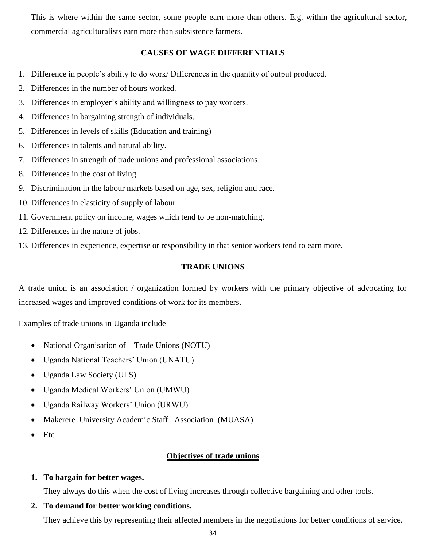This is where within the same sector, some people earn more than others. E.g. within the agricultural sector, commercial agriculturalists earn more than subsistence farmers.

#### **CAUSES OF WAGE DIFFERENTIALS**

- 1. Difference in people's ability to do work/ Differences in the quantity of output produced.
- 2. Differences in the number of hours worked.
- 3. Differences in employer's ability and willingness to pay workers.
- 4. Differences in bargaining strength of individuals.
- 5. Differences in levels of skills (Education and training)
- 6. Differences in talents and natural ability.
- 7. Differences in strength of trade unions and professional associations
- 8. Differences in the cost of living
- 9. Discrimination in the labour markets based on age, sex, religion and race.
- 10. Differences in elasticity of supply of labour
- 11. Government policy on income, wages which tend to be non-matching.
- 12. Differences in the nature of jobs.
- 13. Differences in experience, expertise or responsibility in that senior workers tend to earn more.

#### **TRADE UNIONS**

A trade union is an association / organization formed by workers with the primary objective of advocating for increased wages and improved conditions of work for its members.

Examples of trade unions in Uganda include

- National Organisation of Trade Unions (NOTU)
- Uganda National Teachers' Union (UNATU)
- Uganda Law Society (ULS)
- Uganda Medical Workers' Union (UMWU)
- Uganda Railway Workers' Union (URWU)
- Makerere University Academic Staff Association (MUASA)
- $\bullet$  Etc

#### **Objectives of trade unions**

#### **1. To bargain for better wages.**

They always do this when the cost of living increases through collective bargaining and other tools.

### **2. To demand for better working conditions.**

They achieve this by representing their affected members in the negotiations for better conditions of service.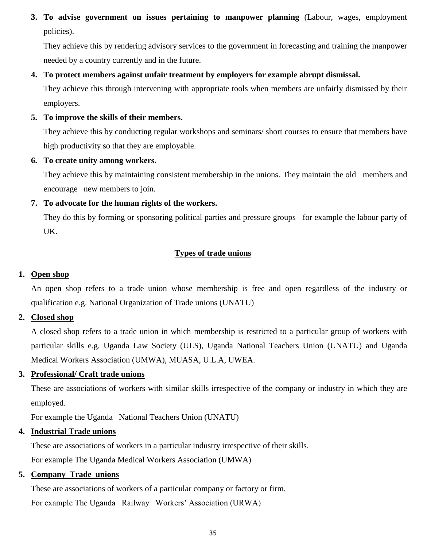**3. To advise government on issues pertaining to manpower planning** (Labour, wages, employment policies).

They achieve this by rendering advisory services to the government in forecasting and training the manpower needed by a country currently and in the future.

### **4. To protect members against unfair treatment by employers for example abrupt dismissal.**

They achieve this through intervening with appropriate tools when members are unfairly dismissed by their employers.

#### **5. To improve the skills of their members.**

They achieve this by conducting regular workshops and seminars/ short courses to ensure that members have high productivity so that they are employable.

#### **6. To create unity among workers.**

They achieve this by maintaining consistent membership in the unions. They maintain the old members and encourage new members to join.

### **7. To advocate for the human rights of the workers.**

They do this by forming or sponsoring political parties and pressure groups for example the labour party of UK.

### **Types of trade unions**

### **1. Open shop**

An open shop refers to a trade union whose membership is free and open regardless of the industry or qualification e.g. National Organization of Trade unions (UNATU)

#### **2. Closed shop**

A closed shop refers to a trade union in which membership is restricted to a particular group of workers with particular skills e.g. Uganda Law Society (ULS), Uganda National Teachers Union (UNATU) and Uganda Medical Workers Association (UMWA), MUASA, U.L.A, UWEA.

#### **3. Professional/ Craft trade unions**

These are associations of workers with similar skills irrespective of the company or industry in which they are employed.

For example the Uganda National Teachers Union (UNATU)

### **4. Industrial Trade unions**

These are associations of workers in a particular industry irrespective of their skills. For example The Uganda Medical Workers Association (UMWA)

### **5. Company Trade unions**

These are associations of workers of a particular company or factory or firm. For example The Uganda Railway Workers' Association (URWA)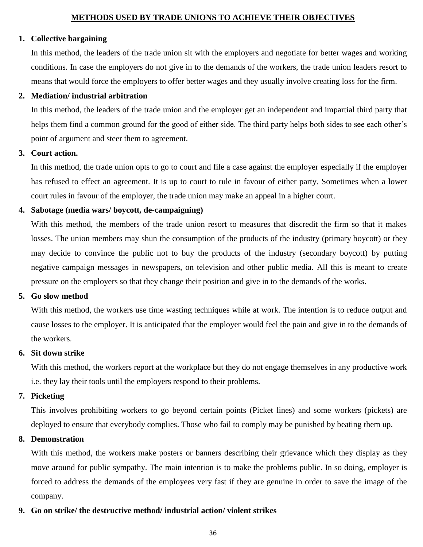### **METHODS USED BY TRADE UNIONS TO ACHIEVE THEIR OBJECTIVES**

#### **1. Collective bargaining**

In this method, the leaders of the trade union sit with the employers and negotiate for better wages and working conditions. In case the employers do not give in to the demands of the workers, the trade union leaders resort to means that would force the employers to offer better wages and they usually involve creating loss for the firm.

#### **2. Mediation/ industrial arbitration**

In this method, the leaders of the trade union and the employer get an independent and impartial third party that helps them find a common ground for the good of either side. The third party helps both sides to see each other's point of argument and steer them to agreement.

#### **3. Court action.**

In this method, the trade union opts to go to court and file a case against the employer especially if the employer has refused to effect an agreement. It is up to court to rule in favour of either party. Sometimes when a lower court rules in favour of the employer, the trade union may make an appeal in a higher court.

### **4. Sabotage (media wars/ boycott, de-campaigning)**

With this method, the members of the trade union resort to measures that discredit the firm so that it makes losses. The union members may shun the consumption of the products of the industry (primary boycott) or they may decide to convince the public not to buy the products of the industry (secondary boycott) by putting negative campaign messages in newspapers, on television and other public media. All this is meant to create pressure on the employers so that they change their position and give in to the demands of the works.

### **5. Go slow method**

With this method, the workers use time wasting techniques while at work. The intention is to reduce output and cause losses to the employer. It is anticipated that the employer would feel the pain and give in to the demands of the workers.

### **6. Sit down strike**

With this method, the workers report at the workplace but they do not engage themselves in any productive work i.e. they lay their tools until the employers respond to their problems.

### **7. Picketing**

This involves prohibiting workers to go beyond certain points (Picket lines) and some workers (pickets) are deployed to ensure that everybody complies. Those who fail to comply may be punished by beating them up.

### **8. Demonstration**

With this method, the workers make posters or banners describing their grievance which they display as they move around for public sympathy. The main intention is to make the problems public. In so doing, employer is forced to address the demands of the employees very fast if they are genuine in order to save the image of the company.

### **9. Go on strike/ the destructive method/ industrial action/ violent strikes**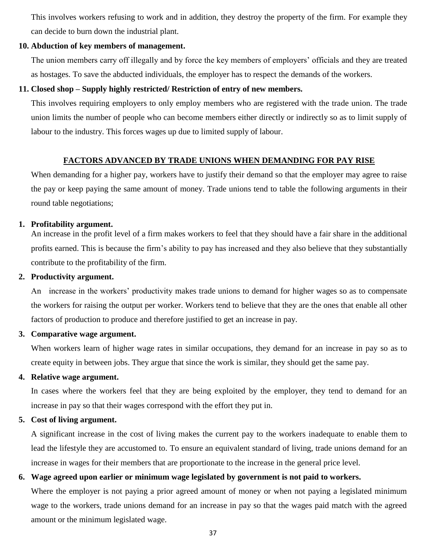This involves workers refusing to work and in addition, they destroy the property of the firm. For example they can decide to burn down the industrial plant.

#### **10. Abduction of key members of management.**

The union members carry off illegally and by force the key members of employers' officials and they are treated as hostages. To save the abducted individuals, the employer has to respect the demands of the workers.

#### **11. Closed shop – Supply highly restricted/ Restriction of entry of new members.**

This involves requiring employers to only employ members who are registered with the trade union. The trade union limits the number of people who can become members either directly or indirectly so as to limit supply of labour to the industry. This forces wages up due to limited supply of labour.

#### **FACTORS ADVANCED BY TRADE UNIONS WHEN DEMANDING FOR PAY RISE**

When demanding for a higher pay, workers have to justify their demand so that the employer may agree to raise the pay or keep paying the same amount of money. Trade unions tend to table the following arguments in their round table negotiations;

#### **1. Profitability argument.**

An increase in the profit level of a firm makes workers to feel that they should have a fair share in the additional profits earned. This is because the firm's ability to pay has increased and they also believe that they substantially contribute to the profitability of the firm.

#### **2. Productivity argument.**

An increase in the workers' productivity makes trade unions to demand for higher wages so as to compensate the workers for raising the output per worker. Workers tend to believe that they are the ones that enable all other factors of production to produce and therefore justified to get an increase in pay.

#### **3. Comparative wage argument.**

When workers learn of higher wage rates in similar occupations, they demand for an increase in pay so as to create equity in between jobs. They argue that since the work is similar, they should get the same pay.

#### **4. Relative wage argument.**

In cases where the workers feel that they are being exploited by the employer, they tend to demand for an increase in pay so that their wages correspond with the effort they put in.

#### **5. Cost of living argument.**

A significant increase in the cost of living makes the current pay to the workers inadequate to enable them to lead the lifestyle they are accustomed to. To ensure an equivalent standard of living, trade unions demand for an increase in wages for their members that are proportionate to the increase in the general price level.

#### **6. Wage agreed upon earlier or minimum wage legislated by government is not paid to workers.**

Where the employer is not paying a prior agreed amount of money or when not paying a legislated minimum wage to the workers, trade unions demand for an increase in pay so that the wages paid match with the agreed amount or the minimum legislated wage.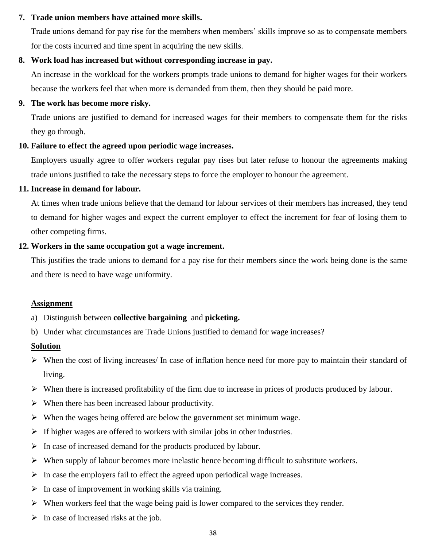#### **7. Trade union members have attained more skills.**

Trade unions demand for pay rise for the members when members' skills improve so as to compensate members for the costs incurred and time spent in acquiring the new skills.

#### **8. Work load has increased but without corresponding increase in pay.**

An increase in the workload for the workers prompts trade unions to demand for higher wages for their workers because the workers feel that when more is demanded from them, then they should be paid more.

#### **9. The work has become more risky.**

Trade unions are justified to demand for increased wages for their members to compensate them for the risks they go through.

### **10. Failure to effect the agreed upon periodic wage increases.**

Employers usually agree to offer workers regular pay rises but later refuse to honour the agreements making trade unions justified to take the necessary steps to force the employer to honour the agreement.

#### **11. Increase in demand for labour.**

At times when trade unions believe that the demand for labour services of their members has increased, they tend to demand for higher wages and expect the current employer to effect the increment for fear of losing them to other competing firms.

#### **12. Workers in the same occupation got a wage increment.**

This justifies the trade unions to demand for a pay rise for their members since the work being done is the same and there is need to have wage uniformity.

### **Assignment**

- a) Distinguish between **collective bargaining** and **picketing.**
- b) Under what circumstances are Trade Unions justified to demand for wage increases?

### **Solution**

- $\triangleright$  When the cost of living increases/ In case of inflation hence need for more pay to maintain their standard of living.
- $\triangleright$  When there is increased profitability of the firm due to increase in prices of products produced by labour.
- $\triangleright$  When there has been increased labour productivity.
- $\triangleright$  When the wages being offered are below the government set minimum wage.
- $\triangleright$  If higher wages are offered to workers with similar jobs in other industries.
- $\triangleright$  In case of increased demand for the products produced by labour.
- $\triangleright$  When supply of labour becomes more inelastic hence becoming difficult to substitute workers.
- $\triangleright$  In case the employers fail to effect the agreed upon periodical wage increases.
- $\triangleright$  In case of improvement in working skills via training.
- $\triangleright$  When workers feel that the wage being paid is lower compared to the services they render.
- $\triangleright$  In case of increased risks at the job.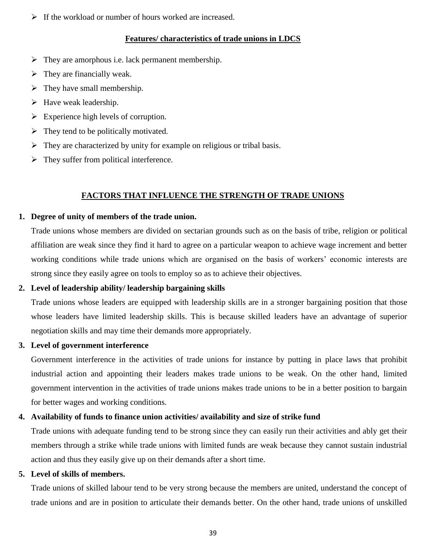$\triangleright$  If the workload or number of hours worked are increased.

#### **Features/ characteristics of trade unions in LDCS**

- $\triangleright$  They are amorphous i.e. lack permanent membership.
- $\triangleright$  They are financially weak.
- $\triangleright$  They have small membership.
- $\triangleright$  Have weak leadership.
- $\triangleright$  Experience high levels of corruption.
- $\triangleright$  They tend to be politically motivated.
- $\triangleright$  They are characterized by unity for example on religious or tribal basis.
- $\triangleright$  They suffer from political interference.

### **FACTORS THAT INFLUENCE THE STRENGTH OF TRADE UNIONS**

#### **1. Degree of unity of members of the trade union.**

Trade unions whose members are divided on sectarian grounds such as on the basis of tribe, religion or political affiliation are weak since they find it hard to agree on a particular weapon to achieve wage increment and better working conditions while trade unions which are organised on the basis of workers' economic interests are strong since they easily agree on tools to employ so as to achieve their objectives.

#### **2. Level of leadership ability/ leadership bargaining skills**

Trade unions whose leaders are equipped with leadership skills are in a stronger bargaining position that those whose leaders have limited leadership skills. This is because skilled leaders have an advantage of superior negotiation skills and may time their demands more appropriately.

#### **3. Level of government interference**

Government interference in the activities of trade unions for instance by putting in place laws that prohibit industrial action and appointing their leaders makes trade unions to be weak. On the other hand, limited government intervention in the activities of trade unions makes trade unions to be in a better position to bargain for better wages and working conditions.

### **4. Availability of funds to finance union activities/ availability and size of strike fund**

Trade unions with adequate funding tend to be strong since they can easily run their activities and ably get their members through a strike while trade unions with limited funds are weak because they cannot sustain industrial action and thus they easily give up on their demands after a short time.

#### **5. Level of skills of members.**

Trade unions of skilled labour tend to be very strong because the members are united, understand the concept of trade unions and are in position to articulate their demands better. On the other hand, trade unions of unskilled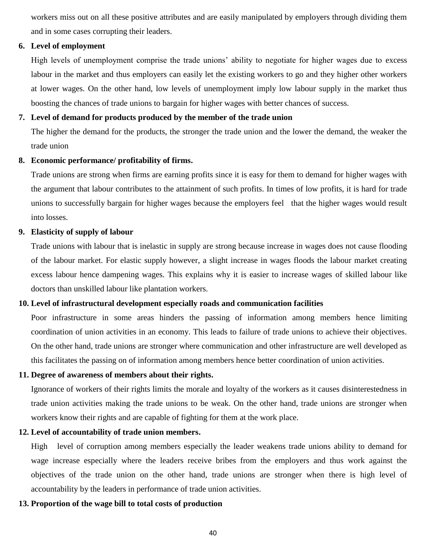workers miss out on all these positive attributes and are easily manipulated by employers through dividing them and in some cases corrupting their leaders.

#### **6. Level of employment**

High levels of unemployment comprise the trade unions' ability to negotiate for higher wages due to excess labour in the market and thus employers can easily let the existing workers to go and they higher other workers at lower wages. On the other hand, low levels of unemployment imply low labour supply in the market thus boosting the chances of trade unions to bargain for higher wages with better chances of success.

#### **7. Level of demand for products produced by the member of the trade union**

The higher the demand for the products, the stronger the trade union and the lower the demand, the weaker the trade union

#### **8. Economic performance/ profitability of firms.**

Trade unions are strong when firms are earning profits since it is easy for them to demand for higher wages with the argument that labour contributes to the attainment of such profits. In times of low profits, it is hard for trade unions to successfully bargain for higher wages because the employers feel that the higher wages would result into losses.

#### **9. Elasticity of supply of labour**

Trade unions with labour that is inelastic in supply are strong because increase in wages does not cause flooding of the labour market. For elastic supply however, a slight increase in wages floods the labour market creating excess labour hence dampening wages. This explains why it is easier to increase wages of skilled labour like doctors than unskilled labour like plantation workers.

#### **10. Level of infrastructural development especially roads and communication facilities**

Poor infrastructure in some areas hinders the passing of information among members hence limiting coordination of union activities in an economy. This leads to failure of trade unions to achieve their objectives. On the other hand, trade unions are stronger where communication and other infrastructure are well developed as this facilitates the passing on of information among members hence better coordination of union activities.

#### **11. Degree of awareness of members about their rights.**

Ignorance of workers of their rights limits the morale and loyalty of the workers as it causes disinterestedness in trade union activities making the trade unions to be weak. On the other hand, trade unions are stronger when workers know their rights and are capable of fighting for them at the work place.

#### **12. Level of accountability of trade union members.**

High level of corruption among members especially the leader weakens trade unions ability to demand for wage increase especially where the leaders receive bribes from the employers and thus work against the objectives of the trade union on the other hand, trade unions are stronger when there is high level of accountability by the leaders in performance of trade union activities.

#### **13. Proportion of the wage bill to total costs of production**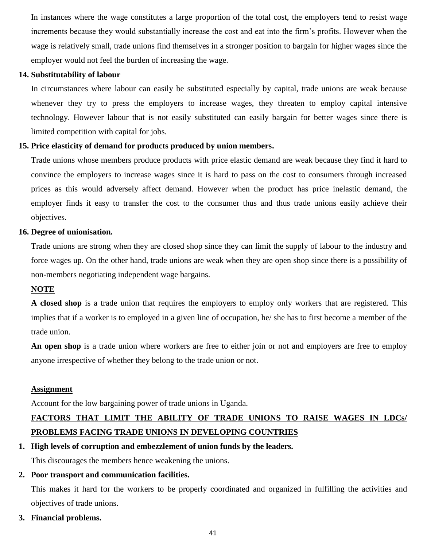In instances where the wage constitutes a large proportion of the total cost, the employers tend to resist wage increments because they would substantially increase the cost and eat into the firm's profits. However when the wage is relatively small, trade unions find themselves in a stronger position to bargain for higher wages since the employer would not feel the burden of increasing the wage.

#### **14. Substitutability of labour**

In circumstances where labour can easily be substituted especially by capital, trade unions are weak because whenever they try to press the employers to increase wages, they threaten to employ capital intensive technology. However labour that is not easily substituted can easily bargain for better wages since there is limited competition with capital for jobs.

### **15. Price elasticity of demand for products produced by union members.**

Trade unions whose members produce products with price elastic demand are weak because they find it hard to convince the employers to increase wages since it is hard to pass on the cost to consumers through increased prices as this would adversely affect demand. However when the product has price inelastic demand, the employer finds it easy to transfer the cost to the consumer thus and thus trade unions easily achieve their objectives.

#### **16. Degree of unionisation.**

Trade unions are strong when they are closed shop since they can limit the supply of labour to the industry and force wages up. On the other hand, trade unions are weak when they are open shop since there is a possibility of non-members negotiating independent wage bargains.

#### **NOTE**

**A closed shop** is a trade union that requires the employers to employ only workers that are registered. This implies that if a worker is to employed in a given line of occupation, he/ she has to first become a member of the trade union.

**An open shop** is a trade union where workers are free to either join or not and employers are free to employ anyone irrespective of whether they belong to the trade union or not.

#### **Assignment**

Account for the low bargaining power of trade unions in Uganda.

## **FACTORS THAT LIMIT THE ABILITY OF TRADE UNIONS TO RAISE WAGES IN LDCs/ PROBLEMS FACING TRADE UNIONS IN DEVELOPING COUNTRIES**

**1. High levels of corruption and embezzlement of union funds by the leaders.**

This discourages the members hence weakening the unions.

### **2. Poor transport and communication facilities.**

This makes it hard for the workers to be properly coordinated and organized in fulfilling the activities and objectives of trade unions.

**3. Financial problems.**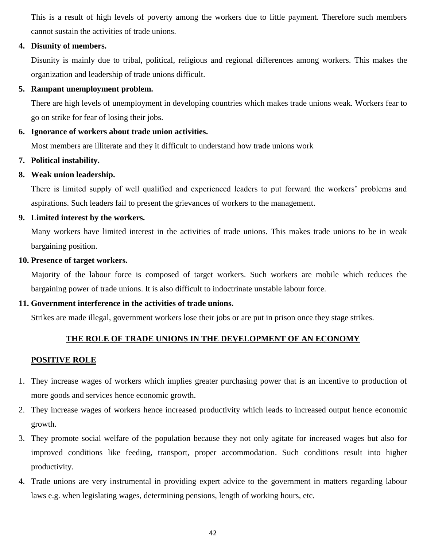This is a result of high levels of poverty among the workers due to little payment. Therefore such members cannot sustain the activities of trade unions.

#### **4. Disunity of members.**

Disunity is mainly due to tribal, political, religious and regional differences among workers. This makes the organization and leadership of trade unions difficult.

#### **5. Rampant unemployment problem.**

There are high levels of unemployment in developing countries which makes trade unions weak. Workers fear to go on strike for fear of losing their jobs.

#### **6. Ignorance of workers about trade union activities.**

Most members are illiterate and they it difficult to understand how trade unions work

#### **7. Political instability.**

### **8. Weak union leadership.**

There is limited supply of well qualified and experienced leaders to put forward the workers' problems and aspirations. Such leaders fail to present the grievances of workers to the management.

#### **9. Limited interest by the workers.**

Many workers have limited interest in the activities of trade unions. This makes trade unions to be in weak bargaining position.

#### **10. Presence of target workers.**

Majority of the labour force is composed of target workers. Such workers are mobile which reduces the bargaining power of trade unions. It is also difficult to indoctrinate unstable labour force.

### **11. Government interference in the activities of trade unions.**

Strikes are made illegal, government workers lose their jobs or are put in prison once they stage strikes.

### **THE ROLE OF TRADE UNIONS IN THE DEVELOPMENT OF AN ECONOMY**

#### **POSITIVE ROLE**

- 1. They increase wages of workers which implies greater purchasing power that is an incentive to production of more goods and services hence economic growth.
- 2. They increase wages of workers hence increased productivity which leads to increased output hence economic growth.
- 3. They promote social welfare of the population because they not only agitate for increased wages but also for improved conditions like feeding, transport, proper accommodation. Such conditions result into higher productivity.
- 4. Trade unions are very instrumental in providing expert advice to the government in matters regarding labour laws e.g. when legislating wages, determining pensions, length of working hours, etc.